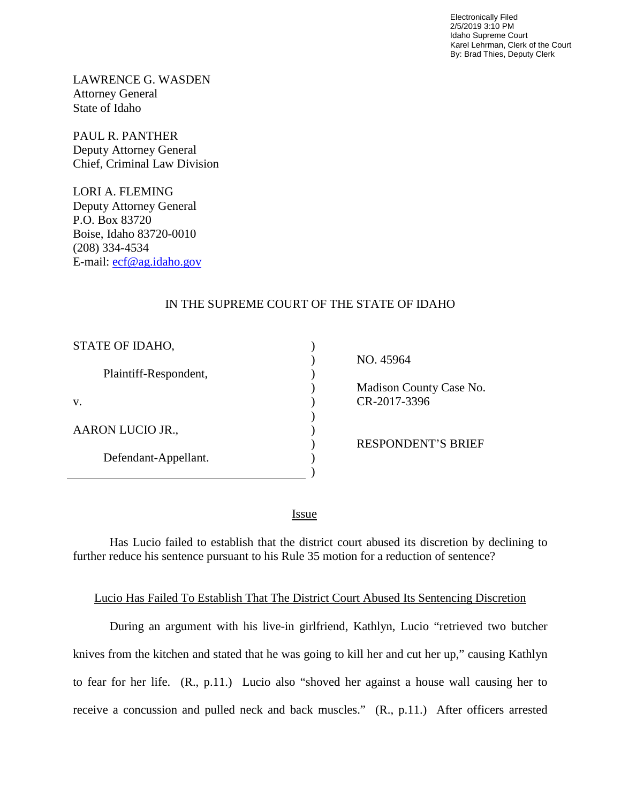Electronically Filed 2/5/2019 3:10 PM Idaho Supreme Court Karel Lehrman, Clerk of the Court By: Brad Thies, Deputy Clerk

LAWRENCE G. WASDEN Attorney General State of Idaho

PAUL R. PANTHER Deputy Attorney General Chief, Criminal Law Division

LORI A. FLEMING Deputy Attorney General P.O. Box 83720 Boise, Idaho 83720-0010 (208) 334-4534 E-mail: [ecf@ag.idaho.gov](mailto:ecf@ag.idaho.gov) 

## IN THE SUPREME COURT OF THE STATE OF IDAHO

| STATE OF IDAHO,       |  |
|-----------------------|--|
| Plaintiff-Respondent, |  |
| V.                    |  |
| AARON LUCIO JR.,      |  |
| Defendant-Appellant.  |  |
|                       |  |

 NO. 45964 Madison County Case No. CR-2017-3396

RESPONDENT'S BRIEF

<u>Issue</u>

Has Lucio failed to establish that the district court abused its discretion by declining to further reduce his sentence pursuant to his Rule 35 motion for a reduction of sentence?

## Lucio Has Failed To Establish That The District Court Abused Its Sentencing Discretion

During an argument with his live-in girlfriend, Kathlyn, Lucio "retrieved two butcher knives from the kitchen and stated that he was going to kill her and cut her up," causing Kathlyn to fear for her life. (R., p.11.) Lucio also "shoved her against a house wall causing her to receive a concussion and pulled neck and back muscles." (R., p.11.) After officers arrested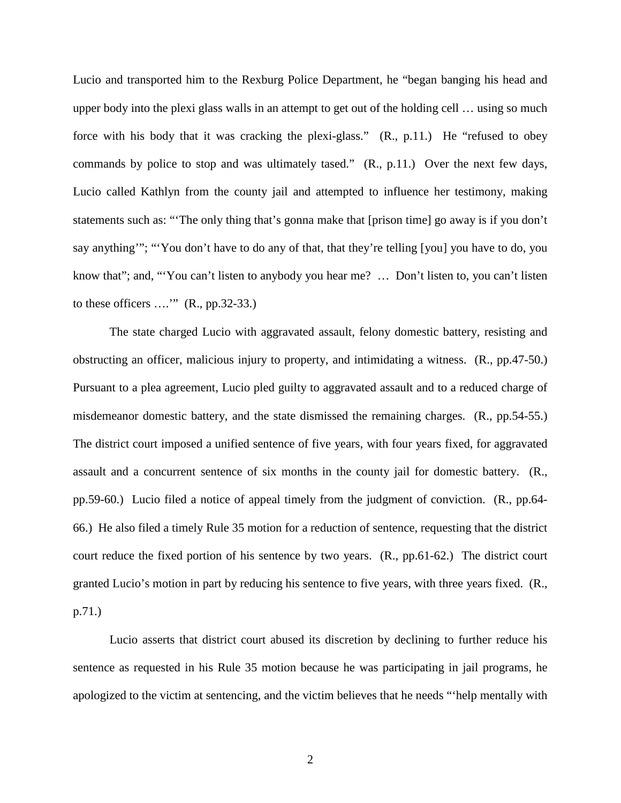Lucio and transported him to the Rexburg Police Department, he "began banging his head and upper body into the plexi glass walls in an attempt to get out of the holding cell … using so much force with his body that it was cracking the plexi-glass." (R., p.11.) He "refused to obey commands by police to stop and was ultimately tased." (R., p.11.) Over the next few days, Lucio called Kathlyn from the county jail and attempted to influence her testimony, making statements such as: "'The only thing that's gonna make that [prison time] go away is if you don't say anything'"; "'You don't have to do any of that, that they're telling [you] you have to do, you know that"; and, "'You can't listen to anybody you hear me? … Don't listen to, you can't listen to these officers ….'" (R., pp.32-33.)

The state charged Lucio with aggravated assault, felony domestic battery, resisting and obstructing an officer, malicious injury to property, and intimidating a witness. (R., pp.47-50.) Pursuant to a plea agreement, Lucio pled guilty to aggravated assault and to a reduced charge of misdemeanor domestic battery, and the state dismissed the remaining charges. (R., pp.54-55.) The district court imposed a unified sentence of five years, with four years fixed, for aggravated assault and a concurrent sentence of six months in the county jail for domestic battery. (R., pp.59-60.) Lucio filed a notice of appeal timely from the judgment of conviction. (R., pp.64- 66.) He also filed a timely Rule 35 motion for a reduction of sentence, requesting that the district court reduce the fixed portion of his sentence by two years. (R., pp.61-62.) The district court granted Lucio's motion in part by reducing his sentence to five years, with three years fixed. (R., p.71.)

Lucio asserts that district court abused its discretion by declining to further reduce his sentence as requested in his Rule 35 motion because he was participating in jail programs, he apologized to the victim at sentencing, and the victim believes that he needs "'help mentally with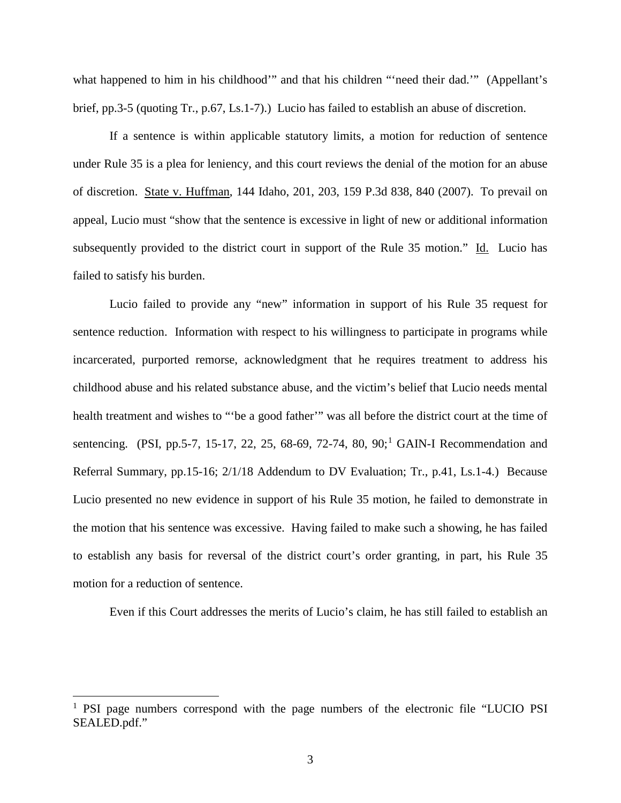what happened to him in his childhood'" and that his children "'need their dad.'" (Appellant's brief, pp.3-5 (quoting Tr., p.67, Ls.1-7).) Lucio has failed to establish an abuse of discretion.

If a sentence is within applicable statutory limits, a motion for reduction of sentence under Rule 35 is a plea for leniency, and this court reviews the denial of the motion for an abuse of discretion. State v. Huffman, 144 Idaho, 201, 203, 159 P.3d 838, 840 (2007). To prevail on appeal, Lucio must "show that the sentence is excessive in light of new or additional information subsequently provided to the district court in support of the Rule 35 motion." Id. Lucio has failed to satisfy his burden.

Lucio failed to provide any "new" information in support of his Rule 35 request for sentence reduction. Information with respect to his willingness to participate in programs while incarcerated, purported remorse, acknowledgment that he requires treatment to address his childhood abuse and his related substance abuse, and the victim's belief that Lucio needs mental health treatment and wishes to "'be a good father'" was all before the district court at the time of sentencing. (PSI, pp.5-7, [1](#page--1-0)5-17, 22, 25, 68-69, 72-74, 80, 90;<sup>1</sup> GAIN-I Recommendation and Referral Summary, pp.15-16; 2/1/18 Addendum to DV Evaluation; Tr., p.41, Ls.1-4.) Because Lucio presented no new evidence in support of his Rule 35 motion, he failed to demonstrate in the motion that his sentence was excessive. Having failed to make such a showing, he has failed to establish any basis for reversal of the district court's order granting, in part, his Rule 35 motion for a reduction of sentence.

Even if this Court addresses the merits of Lucio's claim, he has still failed to establish an

 $\overline{a}$ 

<sup>&</sup>lt;sup>1</sup> PSI page numbers correspond with the page numbers of the electronic file "LUCIO PSI SEALED.pdf."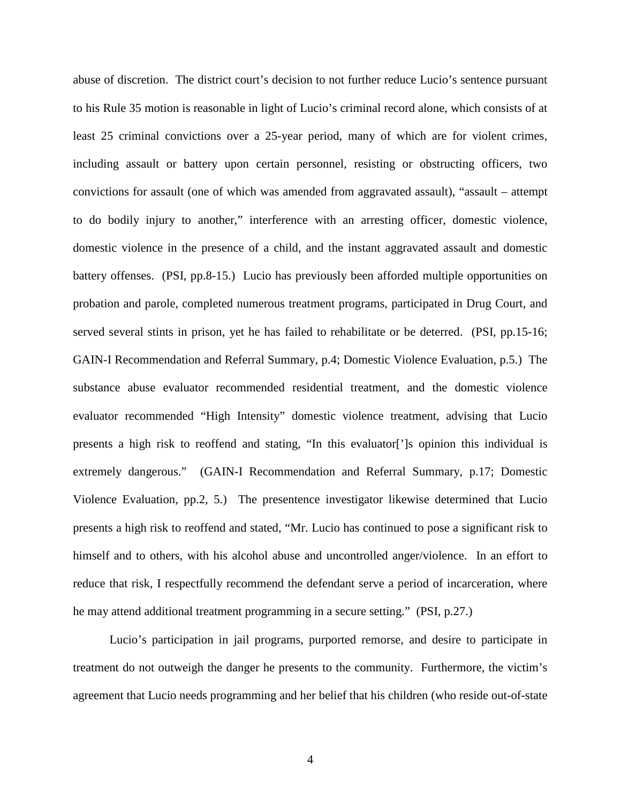abuse of discretion. The district court's decision to not further reduce Lucio's sentence pursuant to his Rule 35 motion is reasonable in light of Lucio's criminal record alone, which consists of at least 25 criminal convictions over a 25-year period, many of which are for violent crimes, including assault or battery upon certain personnel, resisting or obstructing officers, two convictions for assault (one of which was amended from aggravated assault), "assault – attempt to do bodily injury to another," interference with an arresting officer, domestic violence, domestic violence in the presence of a child, and the instant aggravated assault and domestic battery offenses. (PSI, pp.8-15.) Lucio has previously been afforded multiple opportunities on probation and parole, completed numerous treatment programs, participated in Drug Court, and served several stints in prison, yet he has failed to rehabilitate or be deterred. (PSI, pp.15-16; GAIN-I Recommendation and Referral Summary, p.4; Domestic Violence Evaluation, p.5.) The substance abuse evaluator recommended residential treatment, and the domestic violence evaluator recommended "High Intensity" domestic violence treatment, advising that Lucio presents a high risk to reoffend and stating, "In this evaluator[']s opinion this individual is extremely dangerous." (GAIN-I Recommendation and Referral Summary, p.17; Domestic Violence Evaluation, pp.2, 5.) The presentence investigator likewise determined that Lucio presents a high risk to reoffend and stated, "Mr. Lucio has continued to pose a significant risk to himself and to others, with his alcohol abuse and uncontrolled anger/violence. In an effort to reduce that risk, I respectfully recommend the defendant serve a period of incarceration, where he may attend additional treatment programming in a secure setting." (PSI, p.27.)

Lucio's participation in jail programs, purported remorse, and desire to participate in treatment do not outweigh the danger he presents to the community. Furthermore, the victim's agreement that Lucio needs programming and her belief that his children (who reside out-of-state